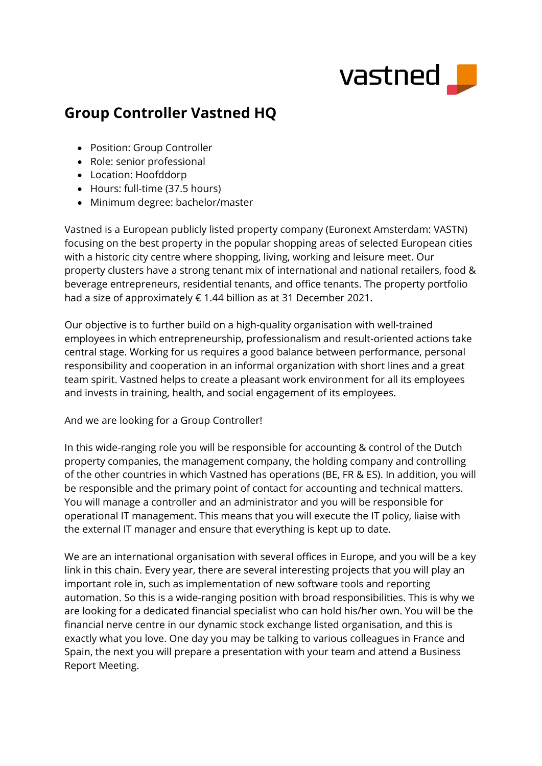

## **Group Controller Vastned HQ**

- Position: Group Controller
- Role: senior professional
- Location: Hoofddorp
- Hours: full-time (37.5 hours)
- Minimum degree: bachelor/master

Vastned is a European publicly listed property company (Euronext Amsterdam: VASTN) focusing on the best property in the popular shopping areas of selected European cities with a historic city centre where shopping, living, working and leisure meet. Our property clusters have a strong tenant mix of international and national retailers, food & beverage entrepreneurs, residential tenants, and office tenants. The property portfolio had a size of approximately € 1.44 billion as at 31 December 2021.

Our objective is to further build on a high-quality organisation with well-trained employees in which entrepreneurship, professionalism and result-oriented actions take central stage. Working for us requires a good balance between performance, personal responsibility and cooperation in an informal organization with short lines and a great team spirit. Vastned helps to create a pleasant work environment for all its employees and invests in training, health, and social engagement of its employees.

## And we are looking for a Group Controller!

In this wide-ranging role you will be responsible for accounting & control of the Dutch property companies, the management company, the holding company and controlling of the other countries in which Vastned has operations (BE, FR & ES). In addition, you will be responsible and the primary point of contact for accounting and technical matters. You will manage a controller and an administrator and you will be responsible for operational IT management. This means that you will execute the IT policy, liaise with the external IT manager and ensure that everything is kept up to date.

We are an international organisation with several offices in Europe, and you will be a key link in this chain. Every year, there are several interesting projects that you will play an important role in, such as implementation of new software tools and reporting automation. So this is a wide-ranging position with broad responsibilities. This is why we are looking for a dedicated financial specialist who can hold his/her own. You will be the financial nerve centre in our dynamic stock exchange listed organisation, and this is exactly what you love. One day you may be talking to various colleagues in France and Spain, the next you will prepare a presentation with your team and attend a Business Report Meeting.